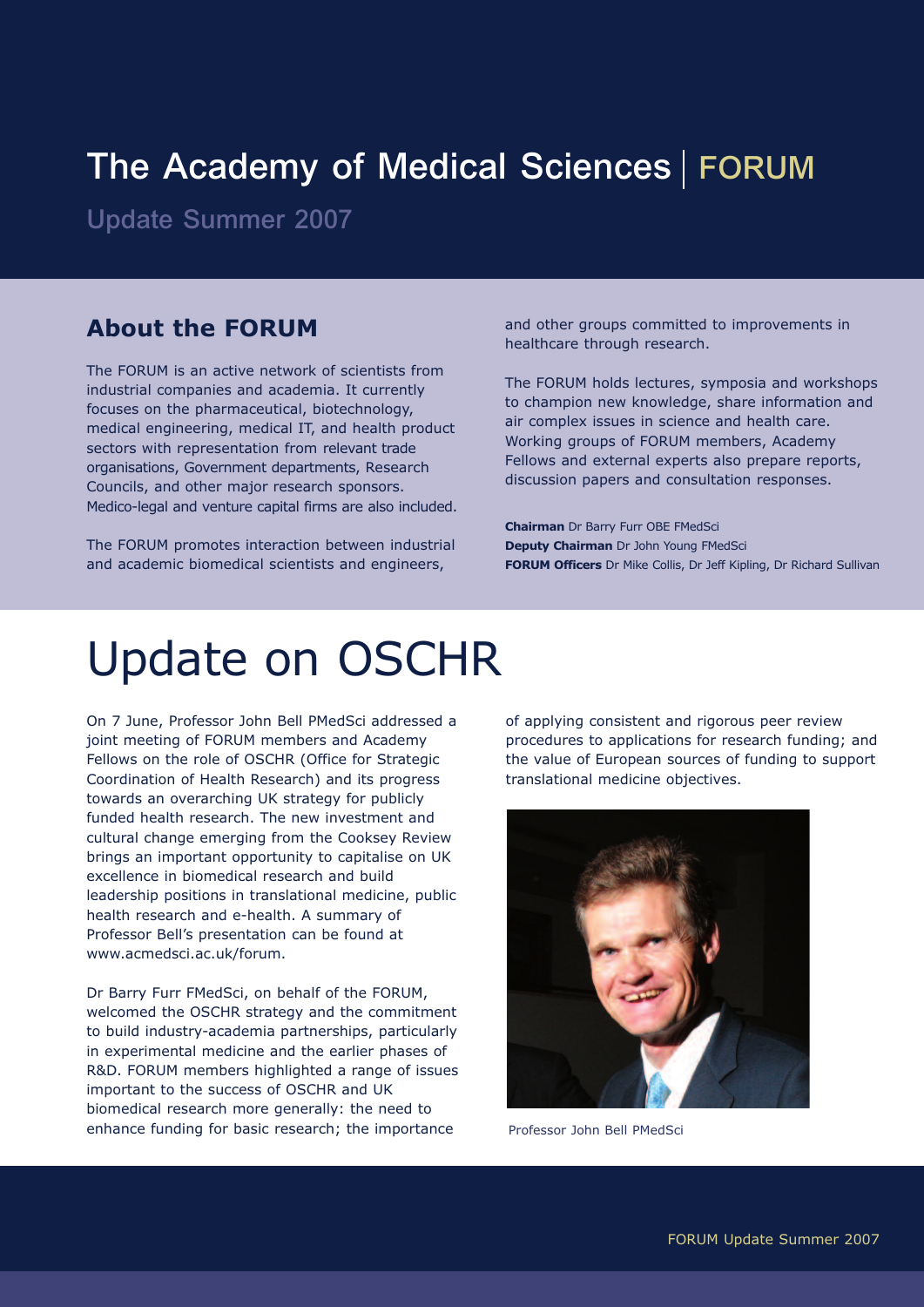## The Academy of Medical Sciences | FORUM

Update Summer 2007

#### **About the FORUM**

The FORUM is an active network of scientists from industrial companies and academia. It currently focuses on the pharmaceutical, biotechnology, medical engineering, medical IT, and health product sectors with representation from relevant trade organisations, Government departments, Research Councils, and other major research sponsors. Medico-legal and venture capital firms are also included.

The FORUM promotes interaction between industrial and academic biomedical scientists and engineers,

and other groups committed to improvements in healthcare through research.

The FORUM holds lectures, symposia and workshops to champion new knowledge, share information and air complex issues in science and health care. Working groups of FORUM members, Academy Fellows and external experts also prepare reports, discussion papers and consultation responses.

**Chairman** Dr Barry Furr OBE FMedSci **Deputy Chairman** Dr John Young FMedSci **FORUM Officers** Dr Mike Collis, Dr Jeff Kipling, Dr Richard Sullivan

# Update on OSCHR

On 7 June, Professor John Bell PMedSci addressed a joint meeting of FORUM members and Academy Fellows on the role of OSCHR (Office for Strategic Coordination of Health Research) and its progress towards an overarching UK strategy for publicly funded health research. The new investment and cultural change emerging from the Cooksey Review brings an important opportunity to capitalise on UK excellence in biomedical research and build leadership positions in translational medicine, public health research and e-health. A summary of Professor Bell's presentation can be found at www.acmedsci.ac.uk/forum.

Dr Barry Furr FMedSci, on behalf of the FORUM, welcomed the OSCHR strategy and the commitment to build industry-academia partnerships, particularly in experimental medicine and the earlier phases of R&D. FORUM members highlighted a range of issues important to the success of OSCHR and UK biomedical research more generally: the need to enhance funding for basic research; the importance

of applying consistent and rigorous peer review procedures to applications for research funding; and the value of European sources of funding to support translational medicine objectives.



Professor John Bell PMedSci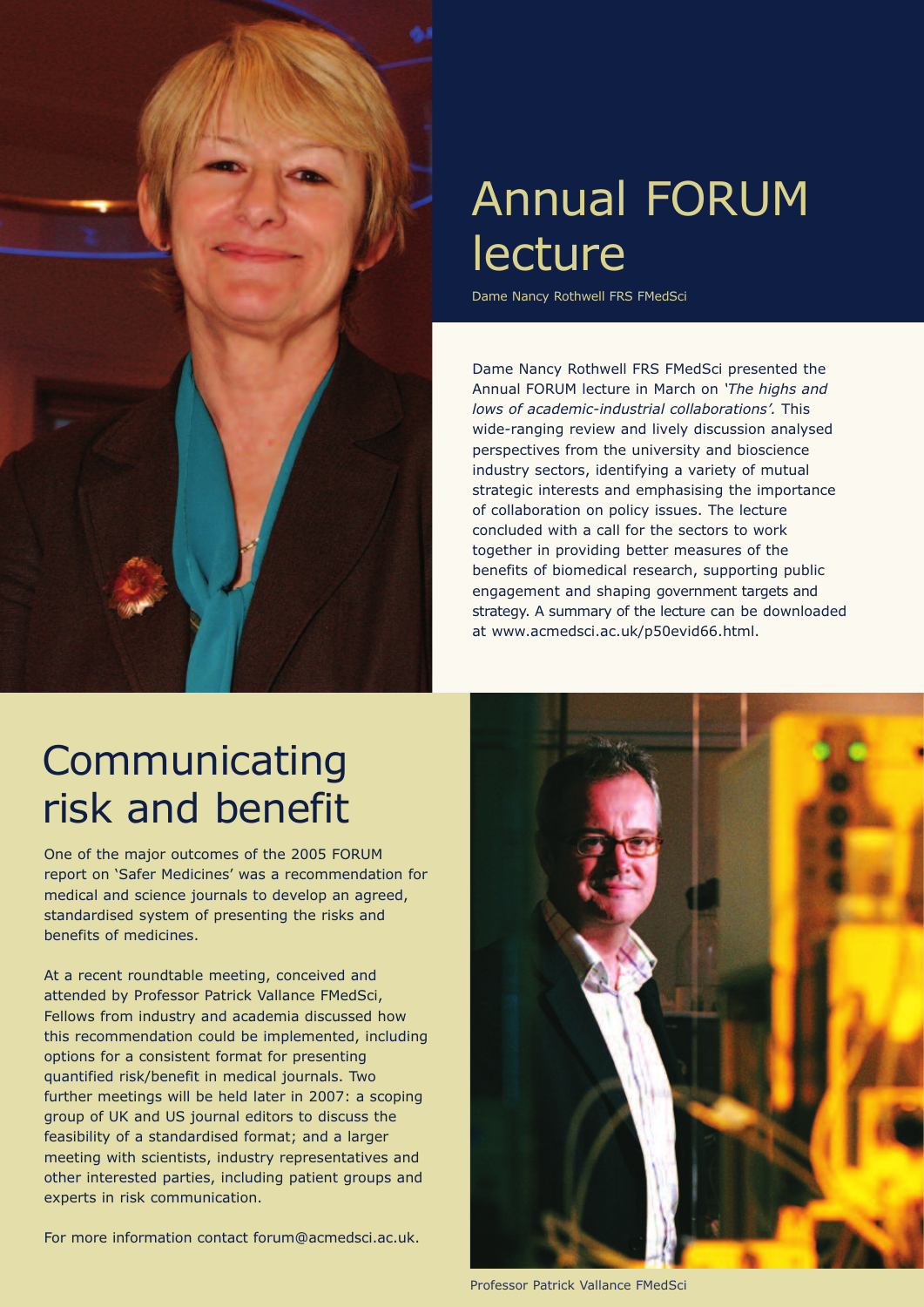

# Annual FORUM lecture

Dame Nancy Rothwell FRS FMedSci

Dame Nancy Rothwell FRS FMedSci presented the Annual FORUM lecture in March on *'The highs and lows of academic-industrial collaborations'.* This wide-ranging review and lively discussion analysed perspectives from the university and bioscience industry sectors, identifying a variety of mutual strategic interests and emphasising the importance of collaboration on policy issues. The lecture concluded with a call for the sectors to work together in providing better measures of the benefits of biomedical research, supporting public engagement and shaping government targets and strategy. A summary of the lecture can be downloaded at www.acmedsci.ac.uk/p50evid66.html.

## **Communicating** risk and benefit

One of the major outcomes of the 2005 FORUM report on 'Safer Medicines' was a recommendation for medical and science journals to develop an agreed, standardised system of presenting the risks and benefits of medicines.

At a recent roundtable meeting, conceived and attended by Professor Patrick Vallance FMedSci, Fellows from industry and academia discussed how this recommendation could be implemented, including options for a consistent format for presenting quantified risk/benefit in medical journals. Two further meetings will be held later in 2007: a scoping group of UK and US journal editors to discuss the feasibility of a standardised format; and a larger meeting with scientists, industry representatives and other interested parties, including patient groups and experts in risk communication.

For more information contact forum@acmedsci.ac.uk.



Professor Patrick Vallance FMedSci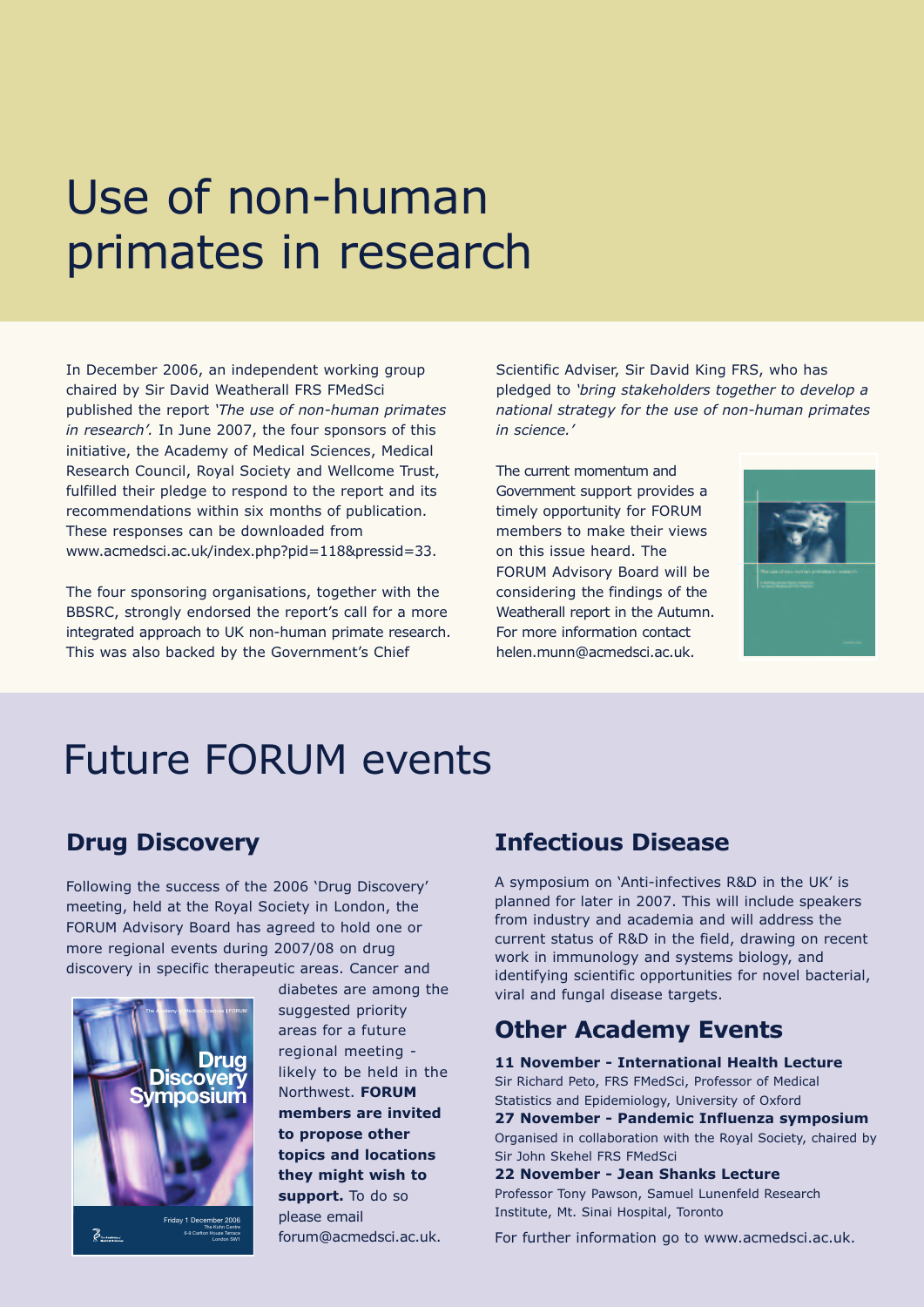# Use of non-human primates in research

In December 2006, an independent working group chaired by Sir David Weatherall FRS FMedSci published the report *'The use of non-human primates in research'.* In June 2007, the four sponsors of this initiative, the Academy of Medical Sciences, Medical Research Council, Royal Society and Wellcome Trust, fulfilled their pledge to respond to the report and its recommendations within six months of publication. These responses can be downloaded from www.acmedsci.ac.uk/index.php?pid=118&pressid=33.

The four sponsoring organisations, together with the BBSRC, strongly endorsed the report's call for a more integrated approach to UK non-human primate research. This was also backed by the Government's Chief

Scientific Adviser, Sir David King FRS, who has pledged to *'bring stakeholders together to develop a national strategy for the use of non-human primates in science.'*

The current momentum and Government support provides a timely opportunity for FORUM members to make their views on this issue heard. The FORUM Advisory Board will be considering the findings of the Weatherall report in the Autumn. For more information contact helen.munn@acmedsci.ac.uk.



## Future FORUM events

### **Drug Discovery**

Following the success of the 2006 'Drug Discovery' meeting, held at the Royal Society in London, the FORUM Advisory Board has agreed to hold one or more regional events during 2007/08 on drug discovery in specific therapeutic areas. Cancer and



diabetes are among the suggested priority areas for a future regional meeting likely to be held in the Northwest. **FORUM members are invited to propose other topics and locations they might wish to support.** To do so please email forum@acmedsci.ac.uk.

#### **Infectious Disease**

A symposium on 'Anti-infectives R&D in the UK' is planned for later in 2007. This will include speakers from industry and academia and will address the current status of R&D in the field, drawing on recent work in immunology and systems biology, and identifying scientific opportunities for novel bacterial, viral and fungal disease targets.

### **Other Academy Events**

**11 November - International Health Lecture** Sir Richard Peto, FRS FMedSci, Professor of Medical Statistics and Epidemiology, University of Oxford **27 November - Pandemic Influenza symposium** Organised in collaboration with the Royal Society, chaired by Sir John Skehel FRS FMedSci **22 November - Jean Shanks Lecture**

Professor Tony Pawson, Samuel Lunenfeld Research Institute, Mt. Sinai Hospital, Toronto

For further information go to www.acmedsci.ac.uk.